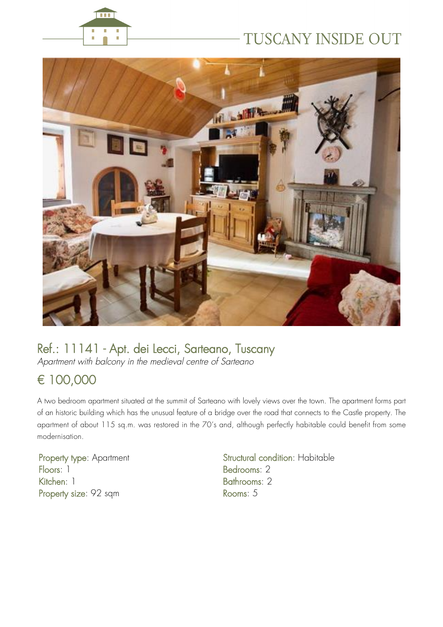

# TUSCANY INSIDE OUT



### Ref.: 11141 - Apt. dei Lecci, Sarteano, Tuscany Apartment with balcony in the medieval centre of Sarteano

## € 100,000

A two bedroom apartment situated at the summit of Sarteano with lovely views over the town. The apartment forms part of an historic building which has the unusual feature of a bridge over the road that connects to the Castle property. The apartment of about 115 sq.m. was restored in the 70's and, although perfectly habitable could benefit from some modernisation.

Floors: 1 Bedrooms: 2 Kitchen: 1 Bathrooms: 2 Property size: 92 sqm Rooms: 5

Property type: Apartment Structural condition: Habitable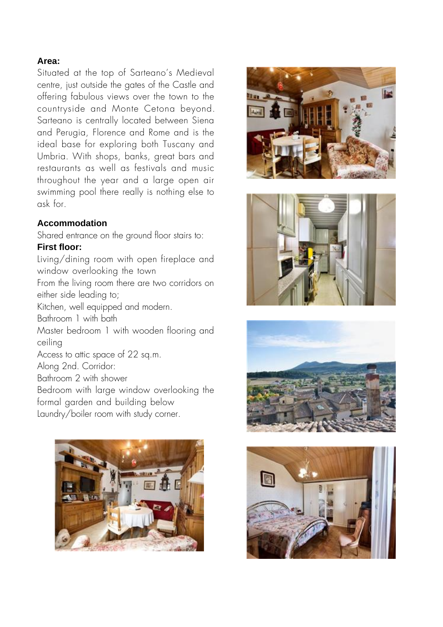#### **Area:**

Situated at the top of Sarteano's Medieval centre, just outside the gates of the Castle and offering fabulous views over the town to the countryside and Monte Cetona beyond. Sarteano is centrally located between Siena and Perugia, Florence and Rome and is the ideal base for exploring both Tuscany and Umbria. With shops, banks, great bars and restaurants as well as festivals and music throughout the year and a large open air swimming pool there really is nothing else to ask for.

#### **Accommodation**

Shared entrance on the ground floor stairs to:

#### **First floor:**

Living/dining room with open fireplace and window overlooking the town

From the living room there are two corridors on either side leading to;

Kitchen, well equipped and modern.

Bathroom 1 with bath

Master bedroom 1 with wooden flooring and ceiling

Access to attic space of 22 sq.m.

Along 2nd. Corridor:

Bathroom 2 with shower

Bedroom with large window overlooking the formal garden and building below

Laundry/boiler room with study corner.









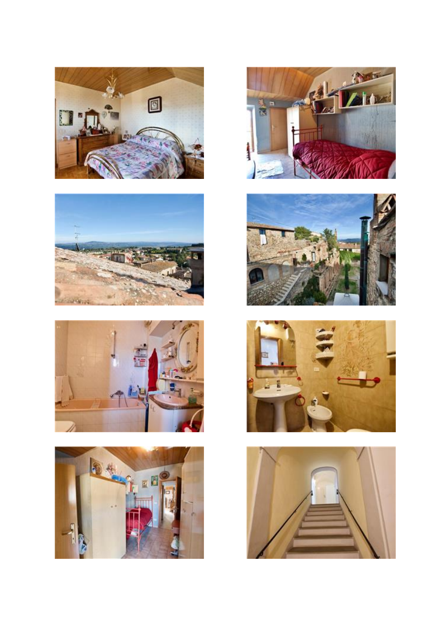